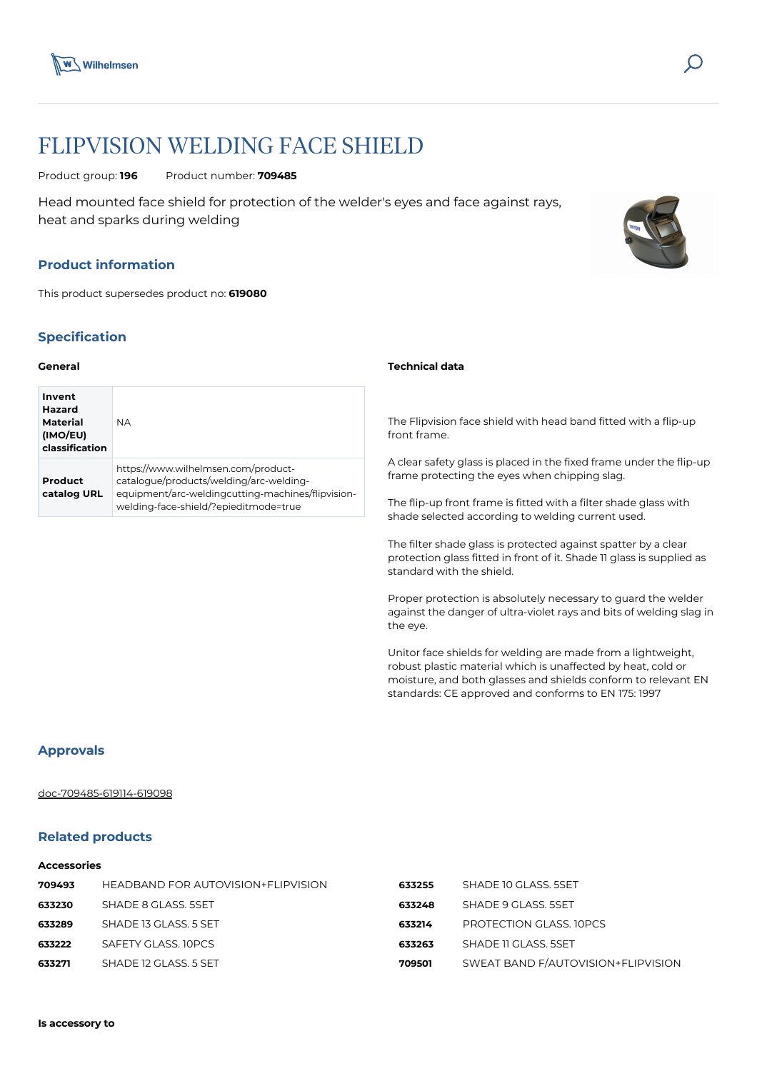



# FLIPVISION WELDING FACE SHIELD

Product group: **196** Product number: **709485**

Head mounted face shield for protection of the welder's eyes and face against rays, heat and sparks during welding

## **Product information**

This product supersedes product no: **619080**

# **Specification**

#### **General**

| Invent<br>Hazard<br><b>Material</b><br>(IMO/EU)<br>classification | <b>NA</b>                                                                                                                                                                    |
|-------------------------------------------------------------------|------------------------------------------------------------------------------------------------------------------------------------------------------------------------------|
| Product<br>catalog URL                                            | https://www.wilhelmsen.com/product-<br>catalogue/products/welding/arc-welding-<br>equipment/arc-weldingcutting-machines/flipvision-<br>welding-face-shield/?epieditmode=true |

#### **Technical data**

The Flipvision face shield with head band fitted with a flip-up front frame.

A clear safety glass is placed in the fixed frame under the flip-up frame protecting the eyes when chipping slag.

The flip-up front frame is fitted with a filter shade glass with shade selected according to welding current used.

The filter shade glass is protected against spatter by a clear protection glass fitted in front of it. Shade 11 glass is supplied as standard with the shield.

Proper protection is absolutely necessary to guard the welder against the danger of ultra-violet rays and bits of welding slag in the eye.

Unitor face shields for welding are made from a lightweight, robust plastic material which is unaffected by heat, cold or moisture, and both glasses and shields conform to relevant EN standards: CE approved and conforms to EN 175: 1997

#### **Approvals**

#### [doc-709485-619114-619098](https://media.bluestonepim.com/e4deb258-8122-4fdf-9d12-b42f3e0e812d/f75f9ab9-0db6-4e62-998f-fc4306eb98cf/AVfyAcyXMMIWJZZZ1XXIoRrc8/XiEWvWoepqjkXaCqeskKuKBYl.pdf)

## **Related products**

#### **Accessories**

| 709493 | HEADBAND FOR AUTOVISION+FLIPVISION | 633255 | SHADE 10 GLASS, 5SET               |
|--------|------------------------------------|--------|------------------------------------|
| 633230 | SHADE 8 GLASS. 5SET                | 633248 | SHADE 9 GLASS, 5SET                |
| 633289 | SHADE 13 GLASS. 5 SET              | 633214 | PROTECTION GLASS, IOPCS            |
| 633222 | SAFETY GLASS, 10PCS                | 633263 | SHADE 11 GLASS, 5SET               |
| 633271 | SHADE 12 GLASS, 5 SET              | 709501 | SWEAT BAND F/AUTOVISION+FLIPVISION |